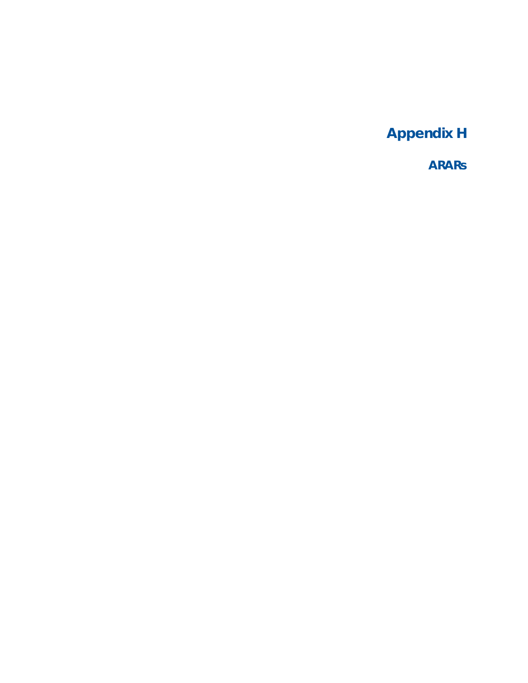**Appendix H** 

**ARARs**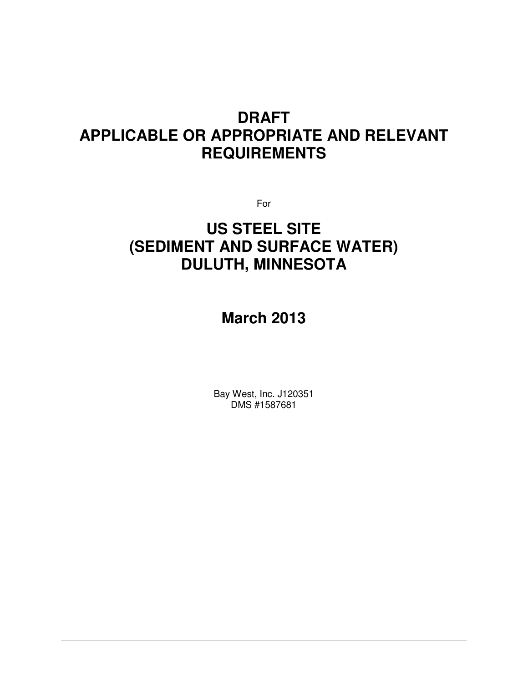# **DRAFT APPLICABLE OR APPROPRIATE AND RELEVANT REQUIREMENTS**

For

# **US STEEL SITE (SEDIMENT AND SURFACE WATER) DULUTH, MINNESOTA**

# **March 2013**

Bay West, Inc. J120351 DMS #1587681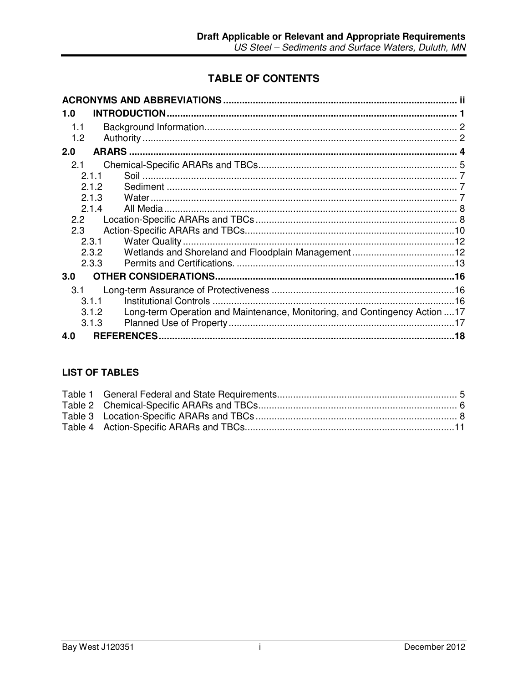## **TABLE OF CONTENTS**

| <b>INTRODUCTION</b><br>1.0                                                          |    |
|-------------------------------------------------------------------------------------|----|
| 1.1                                                                                 |    |
| 1.2                                                                                 |    |
| <b>ARARS</b><br>2.0                                                                 |    |
| 2.1                                                                                 |    |
| 2.1.1                                                                               |    |
| 2.1.2                                                                               |    |
| 2.1.3<br>Water.                                                                     |    |
| 2.1.4                                                                               |    |
| 2.2 <sub>2</sub>                                                                    |    |
| 2.3                                                                                 |    |
| 2.3.1                                                                               |    |
| 2.3.2                                                                               |    |
| 2.3.3                                                                               |    |
| 3.0                                                                                 |    |
| 3.1                                                                                 |    |
| 3.1.1                                                                               |    |
| Long-term Operation and Maintenance, Monitoring, and Contingency Action 17<br>3.1.2 |    |
| 3.1.3                                                                               | 17 |
| <b>REFERENCES.</b><br>4.0                                                           |    |

## **LIST OF TABLES**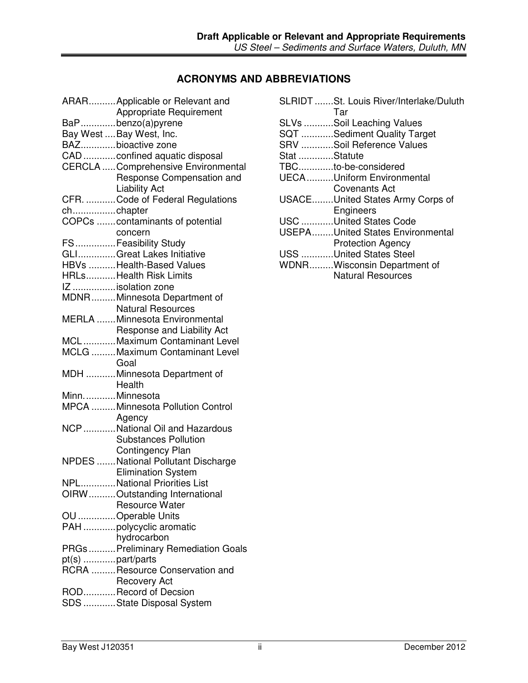## **ACRONYMS AND ABBREVIATIONS**

|                  | ARARApplicable or Relevant and<br><b>Appropriate Requirement</b> |
|------------------|------------------------------------------------------------------|
|                  | BaPbenzo(a)pyrene                                                |
|                  | Bay West  Bay West, Inc.                                         |
|                  | BAZbioactive zone                                                |
|                  | CAD confined aquatic disposal                                    |
|                  | <b>CERCLA  Comprehensive Environmental</b>                       |
|                  | Response Compensation and                                        |
|                  | <b>Liability Act</b>                                             |
|                  | CFR. Code of Federal Regulations                                 |
| chchapter        |                                                                  |
|                  | COPCs contaminants of potential                                  |
|                  | concern                                                          |
|                  | FSFeasibility Study                                              |
|                  | GLIGreat Lakes Initiative                                        |
|                  | HBVs Health-Based Values                                         |
|                  | HRLsHealth Risk Limits                                           |
|                  | IZ isolation zone                                                |
|                  | MDNRMinnesota Department of                                      |
|                  | <b>Natural Resources</b>                                         |
|                  | <b>MERLA</b> Minnesota Environmental                             |
|                  | Response and Liability Act                                       |
|                  | MCLMaximum Contaminant Level                                     |
|                  | MCLG Maximum Contaminant Level                                   |
|                  | Goal                                                             |
|                  | MDH Minnesota Department of                                      |
|                  | Health                                                           |
| MinnMinnesota    |                                                                  |
|                  | MPCA Minnesota Pollution Control                                 |
|                  | Agency                                                           |
|                  | NCP  National Oil and Hazardous                                  |
|                  | <b>Substances Pollution</b>                                      |
|                  | <b>Contingency Plan</b>                                          |
|                  | NPDES National Pollutant Discharge                               |
|                  | <b>Elimination System</b>                                        |
|                  | NPLNational Priorities List                                      |
|                  | OIRWOutstanding International                                    |
|                  | <b>Resource Water</b>                                            |
|                  | OU Operable Units                                                |
|                  | PAH polycyclic aromatic                                          |
|                  | hydrocarbon                                                      |
|                  | PRGs  Preliminary Remediation Goals                              |
| pt(s) part/parts |                                                                  |
|                  | RCRA Resource Conservation and                                   |
|                  | <b>Recovery Act</b>                                              |
|                  | RODRecord of Decsion                                             |
|                  | SDS State Disposal System                                        |
|                  |                                                                  |

|              | SLRIDT St. Louis River/Interlake/Duluth<br>Tar |
|--------------|------------------------------------------------|
|              | SLVs Soil Leaching Values                      |
|              | SQT Sediment Quality Target                    |
|              | SRV Soil Reference Values                      |
| Stat Statute |                                                |
|              | TBCto-be-considered                            |
|              | UECAUniform Environmental                      |
|              | Covenants Act                                  |
|              | USACEUnited States Army Corps of               |
|              | Engineers                                      |
|              | USC United States Code                         |
|              | <b>USEPAUnited States Environmental</b>        |
|              | <b>Protection Agency</b>                       |
|              | USS United States Steel                        |
|              | WDNRWisconsin Department of                    |
|              | <b>Natural Resources</b>                       |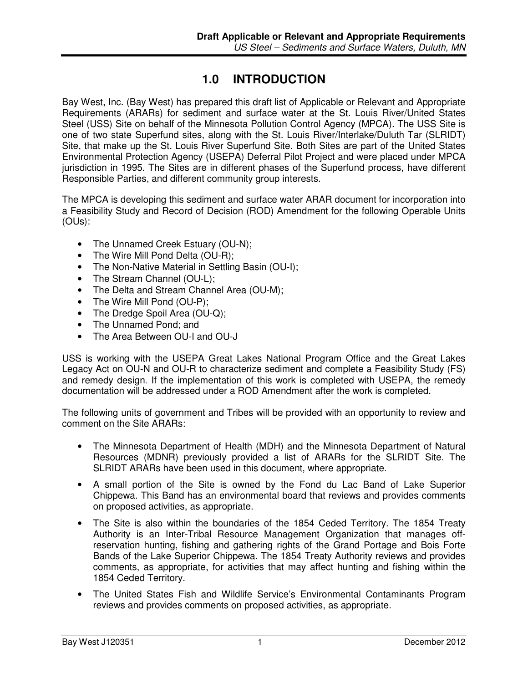## **1.0 INTRODUCTION**

Bay West, Inc. (Bay West) has prepared this draft list of Applicable or Relevant and Appropriate Requirements (ARARs) for sediment and surface water at the St. Louis River/United States Steel (USS) Site on behalf of the Minnesota Pollution Control Agency (MPCA). The USS Site is one of two state Superfund sites, along with the St. Louis River/Interlake/Duluth Tar (SLRIDT) Site, that make up the St. Louis River Superfund Site. Both Sites are part of the United States Environmental Protection Agency (USEPA) Deferral Pilot Project and were placed under MPCA jurisdiction in 1995. The Sites are in different phases of the Superfund process, have different Responsible Parties, and different community group interests.

The MPCA is developing this sediment and surface water ARAR document for incorporation into a Feasibility Study and Record of Decision (ROD) Amendment for the following Operable Units (OUs):

- The Unnamed Creek Estuary (OU-N);
- The Wire Mill Pond Delta (OU-R);
- The Non-Native Material in Settling Basin (OU-I);
- The Stream Channel (OU-L);
- The Delta and Stream Channel Area (OU-M):
- The Wire Mill Pond (OU-P);
- The Dredge Spoil Area (OU-Q);
- The Unnamed Pond; and
- The Area Between OU-I and OU-J

USS is working with the USEPA Great Lakes National Program Office and the Great Lakes Legacy Act on OU-N and OU-R to characterize sediment and complete a Feasibility Study (FS) and remedy design. If the implementation of this work is completed with USEPA, the remedy documentation will be addressed under a ROD Amendment after the work is completed.

The following units of government and Tribes will be provided with an opportunity to review and comment on the Site ARARs:

- The Minnesota Department of Health (MDH) and the Minnesota Department of Natural Resources (MDNR) previously provided a list of ARARs for the SLRIDT Site. The SLRIDT ARARs have been used in this document, where appropriate.
- A small portion of the Site is owned by the Fond du Lac Band of Lake Superior Chippewa. This Band has an environmental board that reviews and provides comments on proposed activities, as appropriate.
- The Site is also within the boundaries of the 1854 Ceded Territory. The 1854 Treaty Authority is an Inter-Tribal Resource Management Organization that manages offreservation hunting, fishing and gathering rights of the Grand Portage and Bois Forte Bands of the Lake Superior Chippewa. The 1854 Treaty Authority reviews and provides comments, as appropriate, for activities that may affect hunting and fishing within the 1854 Ceded Territory.
- The United States Fish and Wildlife Service's Environmental Contaminants Program reviews and provides comments on proposed activities, as appropriate.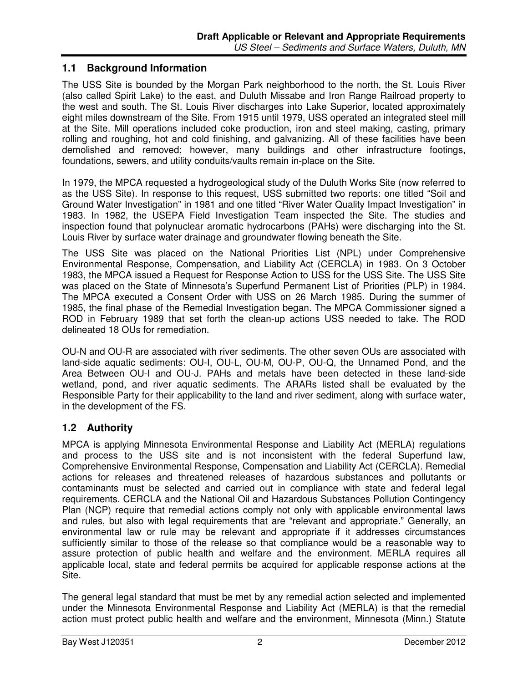## **1.1 Background Information**

The USS Site is bounded by the Morgan Park neighborhood to the north, the St. Louis River (also called Spirit Lake) to the east, and Duluth Missabe and Iron Range Railroad property to the west and south. The St. Louis River discharges into Lake Superior, located approximately eight miles downstream of the Site. From 1915 until 1979, USS operated an integrated steel mill at the Site. Mill operations included coke production, iron and steel making, casting, primary rolling and roughing, hot and cold finishing, and galvanizing. All of these facilities have been demolished and removed; however, many buildings and other infrastructure footings, foundations, sewers, and utility conduits/vaults remain in-place on the Site.

In 1979, the MPCA requested a hydrogeological study of the Duluth Works Site (now referred to as the USS Site). In response to this request, USS submitted two reports: one titled "Soil and Ground Water Investigation" in 1981 and one titled "River Water Quality Impact Investigation" in 1983. In 1982, the USEPA Field Investigation Team inspected the Site. The studies and inspection found that polynuclear aromatic hydrocarbons (PAHs) were discharging into the St. Louis River by surface water drainage and groundwater flowing beneath the Site.

The USS Site was placed on the National Priorities List (NPL) under Comprehensive Environmental Response, Compensation, and Liability Act (CERCLA) in 1983. On 3 October 1983, the MPCA issued a Request for Response Action to USS for the USS Site. The USS Site was placed on the State of Minnesota's Superfund Permanent List of Priorities (PLP) in 1984. The MPCA executed a Consent Order with USS on 26 March 1985. During the summer of 1985, the final phase of the Remedial Investigation began. The MPCA Commissioner signed a ROD in February 1989 that set forth the clean-up actions USS needed to take. The ROD delineated 18 OUs for remediation.

OU-N and OU-R are associated with river sediments. The other seven OUs are associated with land-side aquatic sediments: OU-I, OU-L, OU-M, OU-P, OU-Q, the Unnamed Pond, and the Area Between OU-I and OU-J. PAHs and metals have been detected in these land-side wetland, pond, and river aquatic sediments. The ARARs listed shall be evaluated by the Responsible Party for their applicability to the land and river sediment, along with surface water, in the development of the FS.

## **1.2 Authority**

MPCA is applying Minnesota Environmental Response and Liability Act (MERLA) regulations and process to the USS site and is not inconsistent with the federal Superfund law, Comprehensive Environmental Response, Compensation and Liability Act (CERCLA). Remedial actions for releases and threatened releases of hazardous substances and pollutants or contaminants must be selected and carried out in compliance with state and federal legal requirements. CERCLA and the National Oil and Hazardous Substances Pollution Contingency Plan (NCP) require that remedial actions comply not only with applicable environmental laws and rules, but also with legal requirements that are "relevant and appropriate." Generally, an environmental law or rule may be relevant and appropriate if it addresses circumstances sufficiently similar to those of the release so that compliance would be a reasonable way to assure protection of public health and welfare and the environment. MERLA requires all applicable local, state and federal permits be acquired for applicable response actions at the Site.

The general legal standard that must be met by any remedial action selected and implemented under the Minnesota Environmental Response and Liability Act (MERLA) is that the remedial action must protect public health and welfare and the environment, Minnesota (Minn.) Statute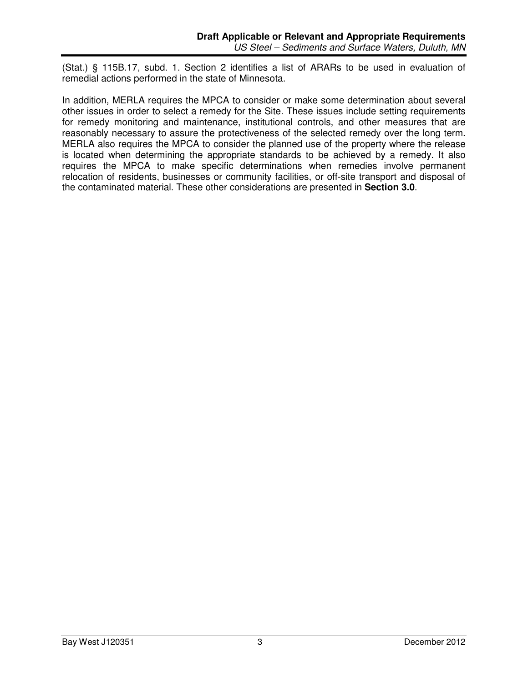(Stat.) § 115B.17, subd. 1. Section 2 identifies a list of ARARs to be used in evaluation of remedial actions performed in the state of Minnesota.

In addition, MERLA requires the MPCA to consider or make some determination about several other issues in order to select a remedy for the Site. These issues include setting requirements for remedy monitoring and maintenance, institutional controls, and other measures that are reasonably necessary to assure the protectiveness of the selected remedy over the long term. MERLA also requires the MPCA to consider the planned use of the property where the release is located when determining the appropriate standards to be achieved by a remedy. It also requires the MPCA to make specific determinations when remedies involve permanent relocation of residents, businesses or community facilities, or off-site transport and disposal of the contaminated material. These other considerations are presented in **Section 3.0**.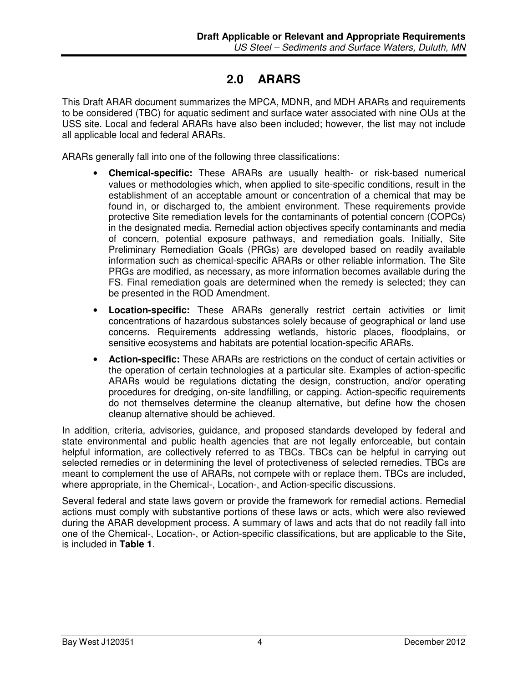## **2.0 ARARS**

This Draft ARAR document summarizes the MPCA, MDNR, and MDH ARARs and requirements to be considered (TBC) for aquatic sediment and surface water associated with nine OUs at the USS site. Local and federal ARARs have also been included; however, the list may not include all applicable local and federal ARARs.

ARARs generally fall into one of the following three classifications:

- **Chemical-specific:** These ARARs are usually health- or risk-based numerical values or methodologies which, when applied to site-specific conditions, result in the establishment of an acceptable amount or concentration of a chemical that may be found in, or discharged to, the ambient environment. These requirements provide protective Site remediation levels for the contaminants of potential concern (COPCs) in the designated media. Remedial action objectives specify contaminants and media of concern, potential exposure pathways, and remediation goals. Initially, Site Preliminary Remediation Goals (PRGs) are developed based on readily available information such as chemical-specific ARARs or other reliable information. The Site PRGs are modified, as necessary, as more information becomes available during the FS. Final remediation goals are determined when the remedy is selected; they can be presented in the ROD Amendment.
- **Location-specific:** These ARARs generally restrict certain activities or limit concentrations of hazardous substances solely because of geographical or land use concerns. Requirements addressing wetlands, historic places, floodplains, or sensitive ecosystems and habitats are potential location-specific ARARs.
- **Action-specific:** These ARARs are restrictions on the conduct of certain activities or the operation of certain technologies at a particular site. Examples of action-specific ARARs would be regulations dictating the design, construction, and/or operating procedures for dredging, on-site landfilling, or capping. Action-specific requirements do not themselves determine the cleanup alternative, but define how the chosen cleanup alternative should be achieved.

In addition, criteria, advisories, guidance, and proposed standards developed by federal and state environmental and public health agencies that are not legally enforceable, but contain helpful information, are collectively referred to as TBCs. TBCs can be helpful in carrying out selected remedies or in determining the level of protectiveness of selected remedies. TBCs are meant to complement the use of ARARs, not compete with or replace them. TBCs are included, where appropriate, in the Chemical-, Location-, and Action-specific discussions.

Several federal and state laws govern or provide the framework for remedial actions. Remedial actions must comply with substantive portions of these laws or acts, which were also reviewed during the ARAR development process. A summary of laws and acts that do not readily fall into one of the Chemical-, Location-, or Action-specific classifications, but are applicable to the Site, is included in **Table 1**.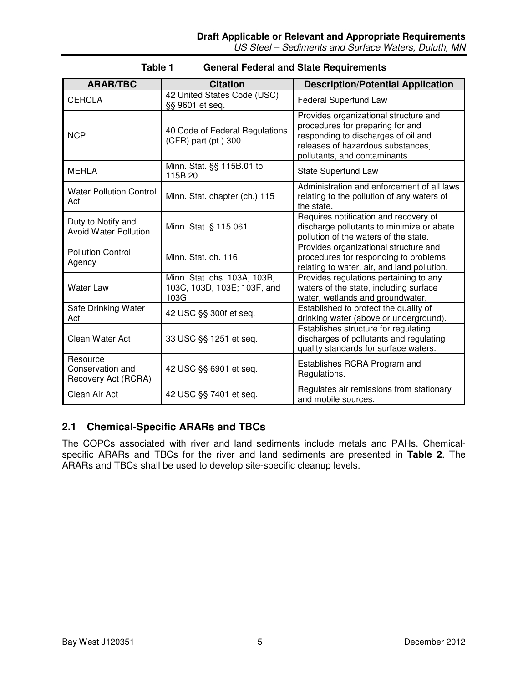| <b>ARAR/TBC</b>                                     | <b>Citation</b>                                                     | <b>Description/Potential Application</b>                                                                                                                                               |
|-----------------------------------------------------|---------------------------------------------------------------------|----------------------------------------------------------------------------------------------------------------------------------------------------------------------------------------|
| <b>CERCLA</b>                                       | 42 United States Code (USC)<br>§§ 9601 et seq.                      | Federal Superfund Law                                                                                                                                                                  |
| <b>NCP</b>                                          | 40 Code of Federal Regulations<br>(CFR) part (pt.) 300              | Provides organizational structure and<br>procedures for preparing for and<br>responding to discharges of oil and<br>releases of hazardous substances,<br>pollutants, and contaminants. |
| <b>MERLA</b>                                        | Minn. Stat. §§ 115B.01 to<br>115B.20                                | State Superfund Law                                                                                                                                                                    |
| <b>Water Pollution Control</b><br>Act               | Minn. Stat. chapter (ch.) 115                                       | Administration and enforcement of all laws<br>relating to the pollution of any waters of<br>the state.                                                                                 |
| Duty to Notify and<br><b>Avoid Water Pollution</b>  | Minn. Stat. § 115.061                                               | Requires notification and recovery of<br>discharge pollutants to minimize or abate<br>pollution of the waters of the state.                                                            |
| <b>Pollution Control</b><br>Agency                  | Minn. Stat. ch. 116                                                 | Provides organizational structure and<br>procedures for responding to problems<br>relating to water, air, and land pollution.                                                          |
| <b>Water Law</b>                                    | Minn. Stat. chs. 103A, 103B,<br>103C, 103D, 103E; 103F, and<br>103G | Provides regulations pertaining to any<br>waters of the state, including surface<br>water, wetlands and groundwater.                                                                   |
| Safe Drinking Water<br>Act                          | 42 USC §§ 300f et seq.                                              | Established to protect the quality of<br>drinking water (above or underground).                                                                                                        |
| <b>Clean Water Act</b>                              | 33 USC §§ 1251 et seq.                                              | Establishes structure for regulating<br>discharges of pollutants and regulating<br>quality standards for surface waters.                                                               |
| Resource<br>Conservation and<br>Recovery Act (RCRA) | 42 USC §§ 6901 et seq.                                              | Establishes RCRA Program and<br>Regulations.                                                                                                                                           |
| Clean Air Act                                       | 42 USC §§ 7401 et seq.                                              | Regulates air remissions from stationary<br>and mobile sources.                                                                                                                        |

### **Table 1 General Federal and State Requirements**

## **2.1 Chemical-Specific ARARs and TBCs**

The COPCs associated with river and land sediments include metals and PAHs. Chemicalspecific ARARs and TBCs for the river and land sediments are presented in **Table 2**. The ARARs and TBCs shall be used to develop site-specific cleanup levels.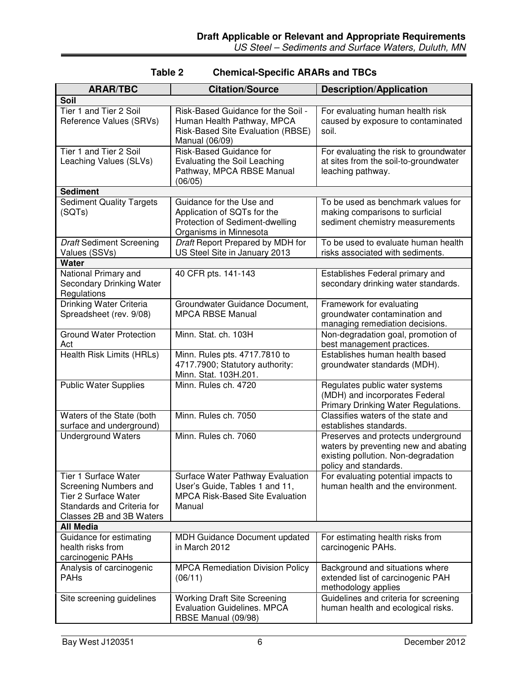| <b>ARAR/TBC</b>                                                                                                                               | <b>Citation/Source</b>                                                                                                        | <b>Description/Application</b>                                                                                                             |
|-----------------------------------------------------------------------------------------------------------------------------------------------|-------------------------------------------------------------------------------------------------------------------------------|--------------------------------------------------------------------------------------------------------------------------------------------|
| <b>Soil</b>                                                                                                                                   |                                                                                                                               |                                                                                                                                            |
| Tier 1 and Tier 2 Soil<br>Reference Values (SRVs)                                                                                             | Risk-Based Guidance for the Soil -<br>Human Health Pathway, MPCA<br>Risk-Based Site Evaluation (RBSE)<br>Manual (06/09)       | For evaluating human health risk<br>caused by exposure to contaminated<br>soil.                                                            |
| Tier 1 and Tier 2 Soil<br>Leaching Values (SLVs)                                                                                              | Risk-Based Guidance for<br>Evaluating the Soil Leaching<br>Pathway, MPCA RBSE Manual<br>(06/05)                               | For evaluating the risk to groundwater<br>at sites from the soil-to-groundwater<br>leaching pathway.                                       |
| <b>Sediment</b>                                                                                                                               |                                                                                                                               |                                                                                                                                            |
| <b>Sediment Quality Targets</b><br>(SQTs)                                                                                                     | Guidance for the Use and<br>Application of SQTs for the<br>Protection of Sediment-dwelling<br>Organisms in Minnesota          | To be used as benchmark values for<br>making comparisons to surficial<br>sediment chemistry measurements                                   |
| <b>Draft Sediment Screening</b><br>Values (SSVs)                                                                                              | Draft Report Prepared by MDH for<br>US Steel Site in January 2013                                                             | To be used to evaluate human health<br>risks associated with sediments.                                                                    |
| <b>Water</b>                                                                                                                                  |                                                                                                                               |                                                                                                                                            |
| National Primary and<br><b>Secondary Drinking Water</b><br>Regulations                                                                        | 40 CFR pts. 141-143                                                                                                           | Establishes Federal primary and<br>secondary drinking water standards.                                                                     |
| <b>Drinking Water Criteria</b><br>Spreadsheet (rev. 9/08)                                                                                     | Groundwater Guidance Document,<br><b>MPCA RBSE Manual</b>                                                                     | Framework for evaluating<br>groundwater contamination and<br>managing remediation decisions.                                               |
| <b>Ground Water Protection</b><br>Act                                                                                                         | Minn. Stat. ch. 103H                                                                                                          | Non-degradation goal, promotion of<br>best management practices.                                                                           |
| Health Risk Limits (HRLs)                                                                                                                     | Minn. Rules pts. 4717.7810 to<br>4717.7900; Statutory authority:<br>Minn. Stat. 103H.201.                                     | Establishes human health based<br>groundwater standards (MDH).                                                                             |
| <b>Public Water Supplies</b>                                                                                                                  | Minn. Rules ch. 4720                                                                                                          | Regulates public water systems<br>(MDH) and incorporates Federal<br>Primary Drinking Water Regulations.                                    |
| Waters of the State (both<br>surface and underground)                                                                                         | Minn. Rules ch. 7050                                                                                                          | Classifies waters of the state and<br>establishes standards.                                                                               |
| <b>Underground Waters</b>                                                                                                                     | Minn, Rules ch. 7060                                                                                                          | Preserves and protects underground<br>waters by preventing new and abating<br>existing pollution. Non-degradation<br>policy and standards. |
| <b>Tier 1 Surface Water</b><br>Screening Numbers and<br><b>Tier 2 Surface Water</b><br>Standards and Criteria for<br>Classes 2B and 3B Waters | <b>Surface Water Pathway Evaluation</b><br>User's Guide, Tables 1 and 11,<br><b>MPCA Risk-Based Site Evaluation</b><br>Manual | For evaluating potential impacts to<br>human health and the environment.                                                                   |
| <b>All Media</b>                                                                                                                              |                                                                                                                               |                                                                                                                                            |
| Guidance for estimating<br>health risks from<br>carcinogenic PAHs                                                                             | <b>MDH Guidance Document updated</b><br>in March 2012                                                                         | For estimating health risks from<br>carcinogenic PAHs.                                                                                     |
| Analysis of carcinogenic<br><b>PAHs</b>                                                                                                       | <b>MPCA Remediation Division Policy</b><br>(06/11)                                                                            | Background and situations where<br>extended list of carcinogenic PAH<br>methodology applies                                                |
| Site screening guidelines                                                                                                                     | <b>Working Draft Site Screening</b><br><b>Evaluation Guidelines. MPCA</b><br>RBSE Manual (09/98)                              | Guidelines and criteria for screening<br>human health and ecological risks.                                                                |

## **Table 2 Chemical-Specific ARARs and TBCs**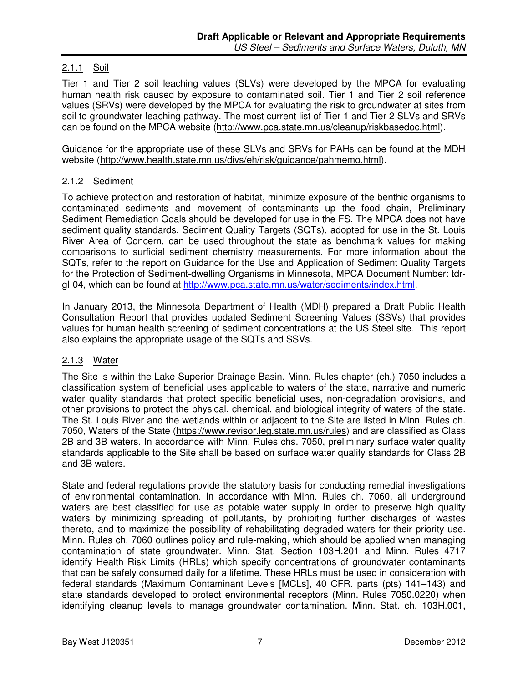## 2.1.1 Soil

Tier 1 and Tier 2 soil leaching values (SLVs) were developed by the MPCA for evaluating human health risk caused by exposure to contaminated soil. Tier 1 and Tier 2 soil reference values (SRVs) were developed by the MPCA for evaluating the risk to groundwater at sites from soil to groundwater leaching pathway. The most current list of Tier 1 and Tier 2 SLVs and SRVs can be found on the MPCA website (http://www.pca.state.mn.us/cleanup/riskbasedoc.html).

Guidance for the appropriate use of these SLVs and SRVs for PAHs can be found at the MDH website (http://www.health.state.mn.us/divs/eh/risk/guidance/pahmemo.html).

### 2.1.2 Sediment

To achieve protection and restoration of habitat, minimize exposure of the benthic organisms to contaminated sediments and movement of contaminants up the food chain, Preliminary Sediment Remediation Goals should be developed for use in the FS. The MPCA does not have sediment quality standards. Sediment Quality Targets (SQTs), adopted for use in the St. Louis River Area of Concern, can be used throughout the state as benchmark values for making comparisons to surficial sediment chemistry measurements. For more information about the SQTs, refer to the report on Guidance for the Use and Application of Sediment Quality Targets for the Protection of Sediment-dwelling Organisms in Minnesota, MPCA Document Number: tdrgl-04, which can be found at http://www.pca.state.mn.us/water/sediments/index.html.

In January 2013, the Minnesota Department of Health (MDH) prepared a Draft Public Health Consultation Report that provides updated Sediment Screening Values (SSVs) that provides values for human health screening of sediment concentrations at the US Steel site. This report also explains the appropriate usage of the SQTs and SSVs.

## 2.1.3 Water

The Site is within the Lake Superior Drainage Basin. Minn. Rules chapter (ch.) 7050 includes a classification system of beneficial uses applicable to waters of the state, narrative and numeric water quality standards that protect specific beneficial uses, non-degradation provisions, and other provisions to protect the physical, chemical, and biological integrity of waters of the state. The St. Louis River and the wetlands within or adjacent to the Site are listed in Minn. Rules ch. 7050, Waters of the State (https://www.revisor.leg.state.mn.us/rules) and are classified as Class 2B and 3B waters. In accordance with Minn. Rules chs. 7050, preliminary surface water quality standards applicable to the Site shall be based on surface water quality standards for Class 2B and 3B waters.

State and federal regulations provide the statutory basis for conducting remedial investigations of environmental contamination. In accordance with Minn. Rules ch. 7060, all underground waters are best classified for use as potable water supply in order to preserve high quality waters by minimizing spreading of pollutants, by prohibiting further discharges of wastes thereto, and to maximize the possibility of rehabilitating degraded waters for their priority use. Minn. Rules ch. 7060 outlines policy and rule-making, which should be applied when managing contamination of state groundwater. Minn. Stat. Section 103H.201 and Minn. Rules 4717 identify Health Risk Limits (HRLs) which specify concentrations of groundwater contaminants that can be safely consumed daily for a lifetime. These HRLs must be used in consideration with federal standards (Maximum Contaminant Levels [MCLs], 40 CFR. parts (pts) 141–143) and state standards developed to protect environmental receptors (Minn. Rules 7050.0220) when identifying cleanup levels to manage groundwater contamination. Minn. Stat. ch. 103H.001,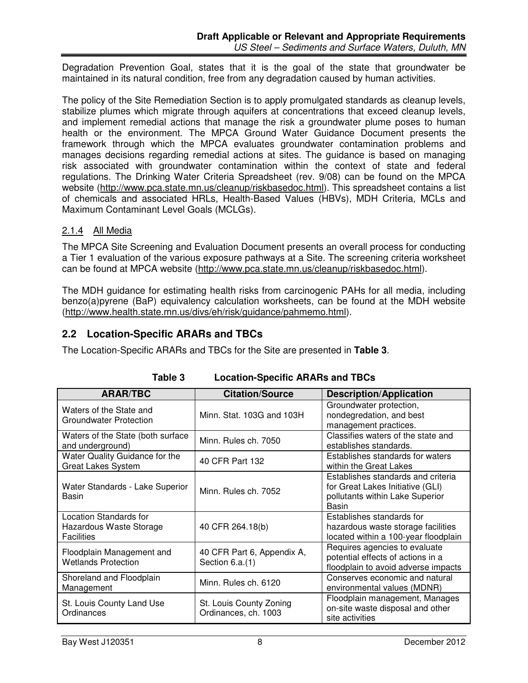Degradation Prevention Goal, states that it is the goal of the state that groundwater be maintained in its natural condition, free from any degradation caused by human activities.

The policy of the Site Remediation Section is to apply promulgated standards as cleanup levels, stabilize plumes which migrate through aquifers at concentrations that exceed cleanup levels, and implement remedial actions that manage the risk a groundwater plume poses to human health or the environment. The MPCA Ground Water Guidance Document presents the framework through which the MPCA evaluates groundwater contamination problems and manages decisions regarding remedial actions at sites. The guidance is based on managing risk associated with groundwater contamination within the context of state and federal regulations. The Drinking Water Criteria Spreadsheet (rev. 9/08) can be found on the MPCA website (http://www.pca.state.mn.us/cleanup/riskbasedoc.html). This spreadsheet contains a list of chemicals and associated HRLs, Health-Based Values (HBVs), MDH Criteria, MCLs and Maximum Contaminant Level Goals (MCLGs).

## 2.1.4 All Media

The MPCA Site Screening and Evaluation Document presents an overall process for conducting a Tier 1 evaluation of the various exposure pathways at a Site. The screening criteria worksheet can be found at MPCA website (http://www.pca.state.mn.us/cleanup/riskbasedoc.html).

The MDH guidance for estimating health risks from carcinogenic PAHs for all media, including benzo(a)pyrene (BaP) equivalency calculation worksheets, can be found at the MDH website (http://www.health.state.mn.us/divs/eh/risk/guidance/pahmemo.html).

## **2.2 Location-Specific ARARs and TBCs**

The Location-Specific ARARs and TBCs for the Site are presented in **Table 3**.

| <b>ARAR/TBC</b>                                                               | <b>Citation/Source</b>                          | <b>Description/Application</b>                                                                                     |
|-------------------------------------------------------------------------------|-------------------------------------------------|--------------------------------------------------------------------------------------------------------------------|
| Waters of the State and<br><b>Groundwater Protection</b>                      | Minn. Stat. 103G and 103H                       | Groundwater protection,<br>nondegredation, and best<br>management practices.                                       |
| Waters of the State (both surface<br>and underground)                         | Minn. Rules ch. 7050                            | Classifies waters of the state and<br>establishes standards.                                                       |
| Water Quality Guidance for the<br><b>Great Lakes System</b>                   | 40 CFR Part 132                                 | Establishes standards for waters<br>within the Great Lakes                                                         |
| Water Standards - Lake Superior<br>Basin                                      | Minn. Rules ch. 7052                            | Establishes standards and criteria<br>for Great Lakes Initiative (GLI)<br>pollutants within Lake Superior<br>Basin |
| <b>Location Standards for</b><br>Hazardous Waste Storage<br><b>Facilities</b> | 40 CFR 264.18(b)                                | Establishes standards for<br>hazardous waste storage facilities<br>located within a 100-year floodplain            |
| Floodplain Management and<br><b>Wetlands Protection</b>                       | 40 CFR Part 6, Appendix A,<br>Section 6.a.(1)   | Requires agencies to evaluate<br>potential effects of actions in a<br>floodplain to avoid adverse impacts          |
| Shoreland and Floodplain<br>Management                                        | Minn. Rules ch. 6120                            | Conserves economic and natural<br>environmental values (MDNR)                                                      |
| St. Louis County Land Use<br>Ordinances                                       | St. Louis County Zoning<br>Ordinances, ch. 1003 | Floodplain management, Manages<br>on-site waste disposal and other<br>site activities                              |

**Table 3 Location-Specific ARARs and TBCs**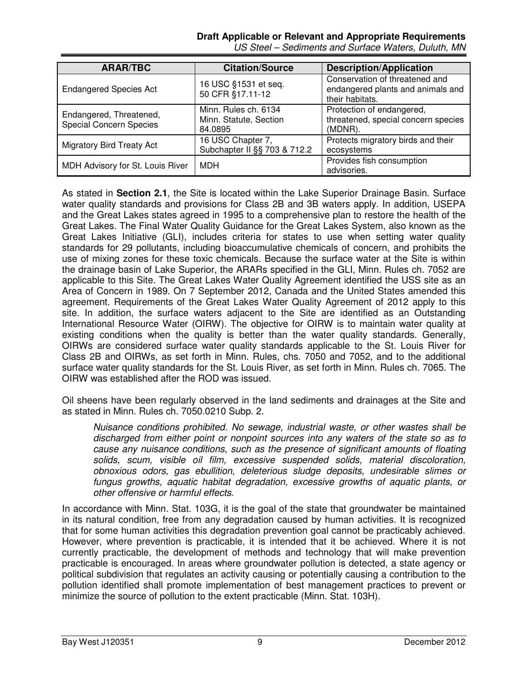### **Draft Applicable or Relevant and Appropriate Requirements**

| <b>ARAR/TBC</b>                                           | <b>Citation/Source</b>                                    | <b>Description/Application</b>                                                         |
|-----------------------------------------------------------|-----------------------------------------------------------|----------------------------------------------------------------------------------------|
| <b>Endangered Species Act</b>                             | 16 USC §1531 et seq.<br>50 CFR §17.11-12                  | Conservation of threatened and<br>endangered plants and animals and<br>their habitats. |
| Endangered, Threatened,<br><b>Special Concern Species</b> | Minn. Rules ch. 6134<br>Minn. Statute, Section<br>84.0895 | Protection of endangered,<br>threatened, special concern species<br>(MDNR).            |
| <b>Migratory Bird Treaty Act</b>                          | 16 USC Chapter 7,<br>Subchapter II §§ 703 & 712.2         | Protects migratory birds and their<br>ecosystems                                       |
| MDH Advisory for St. Louis River                          | <b>MDH</b>                                                | Provides fish consumption<br>advisories.                                               |

US Steel – Sediments and Surface Waters, Duluth, MN

As stated in **Section 2.1**, the Site is located within the Lake Superior Drainage Basin. Surface water quality standards and provisions for Class 2B and 3B waters apply. In addition, USEPA and the Great Lakes states agreed in 1995 to a comprehensive plan to restore the health of the Great Lakes. The Final Water Quality Guidance for the Great Lakes System, also known as the Great Lakes Initiative (GLI), includes criteria for states to use when setting water quality standards for 29 pollutants, including bioaccumulative chemicals of concern, and prohibits the use of mixing zones for these toxic chemicals. Because the surface water at the Site is within the drainage basin of Lake Superior, the ARARs specified in the GLI, Minn. Rules ch. 7052 are applicable to this Site. The Great Lakes Water Quality Agreement identified the USS site as an Area of Concern in 1989. On 7 September 2012, Canada and the United States amended this agreement. Requirements of the Great Lakes Water Quality Agreement of 2012 apply to this site. In addition, the surface waters adjacent to the Site are identified as an Outstanding International Resource Water (OIRW). The objective for OIRW is to maintain water quality at existing conditions when the quality is better than the water quality standards. Generally, OIRWs are considered surface water quality standards applicable to the St. Louis River for Class 2B and OIRWs, as set forth in Minn. Rules, chs. 7050 and 7052, and to the additional surface water quality standards for the St. Louis River, as set forth in Minn. Rules ch. 7065. The OIRW was established after the ROD was issued.

Oil sheens have been regularly observed in the land sediments and drainages at the Site and as stated in Minn. Rules ch. 7050.0210 Subp. 2.

Nuisance conditions prohibited. No sewage, industrial waste, or other wastes shall be discharged from either point or nonpoint sources into any waters of the state so as to cause any nuisance conditions, such as the presence of significant amounts of floating solids, scum, visible oil film, excessive suspended solids, material discoloration, obnoxious odors, gas ebullition, deleterious sludge deposits, undesirable slimes or fungus growths, aquatic habitat degradation, excessive growths of aquatic plants, or other offensive or harmful effects.

In accordance with Minn. Stat. 103G, it is the goal of the state that groundwater be maintained in its natural condition, free from any degradation caused by human activities. It is recognized that for some human activities this degradation prevention goal cannot be practicably achieved. However, where prevention is practicable, it is intended that it be achieved. Where it is not currently practicable, the development of methods and technology that will make prevention practicable is encouraged. In areas where groundwater pollution is detected, a state agency or political subdivision that regulates an activity causing or potentially causing a contribution to the pollution identified shall promote implementation of best management practices to prevent or minimize the source of pollution to the extent practicable (Minn. Stat. 103H).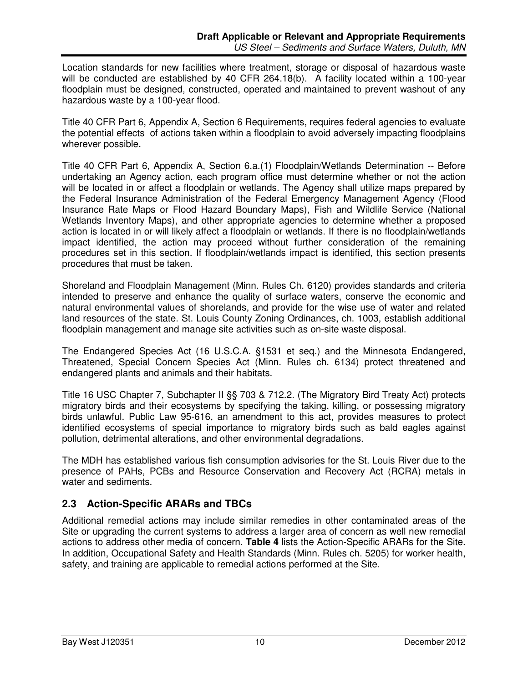Location standards for new facilities where treatment, storage or disposal of hazardous waste will be conducted are established by 40 CFR 264.18(b). A facility located within a 100-year floodplain must be designed, constructed, operated and maintained to prevent washout of any hazardous waste by a 100-year flood.

Title 40 CFR Part 6, Appendix A, Section 6 Requirements, requires federal agencies to evaluate the potential effects of actions taken within a floodplain to avoid adversely impacting floodplains wherever possible.

Title 40 CFR Part 6, Appendix A, Section 6.a.(1) Floodplain/Wetlands Determination -- Before undertaking an Agency action, each program office must determine whether or not the action will be located in or affect a floodplain or wetlands. The Agency shall utilize maps prepared by the Federal Insurance Administration of the Federal Emergency Management Agency (Flood Insurance Rate Maps or Flood Hazard Boundary Maps), Fish and Wildlife Service (National Wetlands Inventory Maps), and other appropriate agencies to determine whether a proposed action is located in or will likely affect a floodplain or wetlands. If there is no floodplain/wetlands impact identified, the action may proceed without further consideration of the remaining procedures set in this section. If floodplain/wetlands impact is identified, this section presents procedures that must be taken.

Shoreland and Floodplain Management (Minn. Rules Ch. 6120) provides standards and criteria intended to preserve and enhance the quality of surface waters, conserve the economic and natural environmental values of shorelands, and provide for the wise use of water and related land resources of the state. St. Louis County Zoning Ordinances, ch. 1003, establish additional floodplain management and manage site activities such as on-site waste disposal.

The Endangered Species Act (16 U.S.C.A. §1531 et seq.) and the Minnesota Endangered, Threatened, Special Concern Species Act (Minn. Rules ch. 6134) protect threatened and endangered plants and animals and their habitats.

Title 16 USC Chapter 7, Subchapter II §§ 703 & 712.2. (The Migratory Bird Treaty Act) protects migratory birds and their ecosystems by specifying the taking, killing, or possessing migratory birds unlawful. Public Law 95-616, an amendment to this act, provides measures to protect identified ecosystems of special importance to migratory birds such as bald eagles against pollution, detrimental alterations, and other environmental degradations.

The MDH has established various fish consumption advisories for the St. Louis River due to the presence of PAHs, PCBs and Resource Conservation and Recovery Act (RCRA) metals in water and sediments.

## **2.3 Action-Specific ARARs and TBCs**

Additional remedial actions may include similar remedies in other contaminated areas of the Site or upgrading the current systems to address a larger area of concern as well new remedial actions to address other media of concern. **Table 4** lists the Action-Specific ARARs for the Site. In addition, Occupational Safety and Health Standards (Minn. Rules ch. 5205) for worker health, safety, and training are applicable to remedial actions performed at the Site.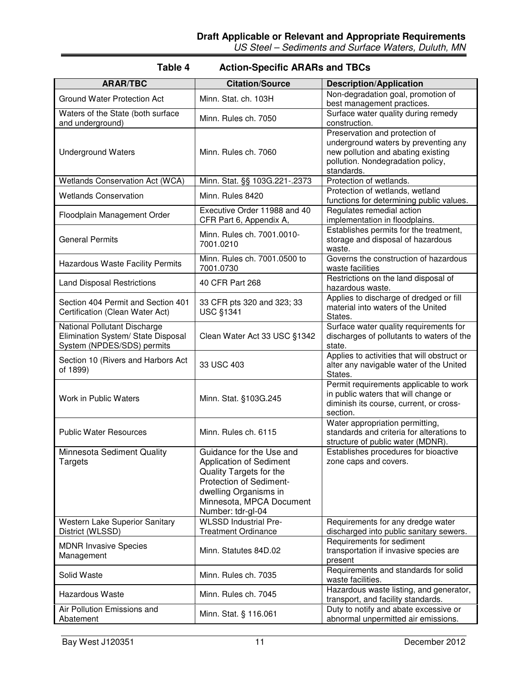US Steel – Sediments and Surface Waters, Duluth, MN

| <b>ARAR/TBC</b>                                                                                  | <b>Citation/Source</b>                                                                                                                                                                     | <b>Description/Application</b>                                                                                                                                  |
|--------------------------------------------------------------------------------------------------|--------------------------------------------------------------------------------------------------------------------------------------------------------------------------------------------|-----------------------------------------------------------------------------------------------------------------------------------------------------------------|
| Ground Water Protection Act                                                                      | Minn. Stat. ch. 103H                                                                                                                                                                       | Non-degradation goal, promotion of<br>best management practices.                                                                                                |
| Waters of the State (both surface<br>and underground)                                            | Minn. Rules ch. 7050                                                                                                                                                                       | Surface water quality during remedy<br>construction.                                                                                                            |
| <b>Underground Waters</b>                                                                        | Minn. Rules ch. 7060                                                                                                                                                                       | Preservation and protection of<br>underground waters by preventing any<br>new pollution and abating existing<br>pollution. Nondegradation policy,<br>standards. |
| Wetlands Conservation Act (WCA)                                                                  | Minn. Stat. §§ 103G.221-.2373                                                                                                                                                              | Protection of wetlands.                                                                                                                                         |
| <b>Wetlands Conservation</b>                                                                     | Minn. Rules 8420                                                                                                                                                                           | Protection of wetlands, wetland<br>functions for determining public values.                                                                                     |
| Floodplain Management Order                                                                      | Executive Order 11988 and 40<br>CFR Part 6, Appendix A,                                                                                                                                    | Regulates remedial action<br>implementation in floodplains.                                                                                                     |
| <b>General Permits</b>                                                                           | Minn. Rules ch. 7001.0010-<br>7001.0210                                                                                                                                                    | Establishes permits for the treatment,<br>storage and disposal of hazardous<br>waste.                                                                           |
| <b>Hazardous Waste Facility Permits</b>                                                          | Minn. Rules ch. 7001.0500 to<br>7001.0730                                                                                                                                                  | Governs the construction of hazardous<br>waste facilities                                                                                                       |
| <b>Land Disposal Restrictions</b>                                                                | 40 CFR Part 268                                                                                                                                                                            | Restrictions on the land disposal of<br>hazardous waste.                                                                                                        |
| Section 404 Permit and Section 401<br>Certification (Clean Water Act)                            | 33 CFR pts 320 and 323; 33<br><b>USC §1341</b>                                                                                                                                             | Applies to discharge of dredged or fill<br>material into waters of the United<br>States.                                                                        |
| National Pollutant Discharge<br>Elimination System/ State Disposal<br>System (NPDES/SDS) permits | Clean Water Act 33 USC §1342                                                                                                                                                               | Surface water quality requirements for<br>discharges of pollutants to waters of the<br>state.                                                                   |
| Section 10 (Rivers and Harbors Act<br>of 1899)                                                   | 33 USC 403                                                                                                                                                                                 | Applies to activities that will obstruct or<br>alter any navigable water of the United<br>States.                                                               |
| Work in Public Waters                                                                            | Minn. Stat. §103G.245                                                                                                                                                                      | Permit requirements applicable to work<br>in public waters that will change or<br>diminish its course, current, or cross-<br>section.                           |
| <b>Public Water Resources</b>                                                                    | Minn. Rules ch. 6115                                                                                                                                                                       | Water appropriation permitting,<br>standards and criteria for alterations to<br>structure of public water (MDNR).                                               |
| Minnesota Sediment Quality<br><b>Targets</b>                                                     | Guidance for the Use and<br><b>Application of Sediment</b><br>Quality Targets for the<br>Protection of Sediment-<br>dwelling Organisms in<br>Minnesota, MPCA Document<br>Number: tdr-gl-04 | Establishes procedures for bioactive<br>zone caps and covers.                                                                                                   |
| Western Lake Superior Sanitary<br>District (WLSSD)                                               | <b>WLSSD Industrial Pre-</b><br><b>Treatment Ordinance</b>                                                                                                                                 | Requirements for any dredge water<br>discharged into public sanitary sewers.                                                                                    |
| <b>MDNR Invasive Species</b><br>Management                                                       | Minn. Statutes 84D.02                                                                                                                                                                      | Requirements for sediment<br>transportation if invasive species are<br>present                                                                                  |
| Solid Waste                                                                                      | Minn. Rules ch. 7035                                                                                                                                                                       | Requirements and standards for solid<br>waste facilities.                                                                                                       |
| <b>Hazardous Waste</b>                                                                           | Minn. Rules ch. 7045                                                                                                                                                                       | Hazardous waste listing, and generator,<br>transport, and facility standards.                                                                                   |
| Air Pollution Emissions and<br>Abatement                                                         | Minn. Stat. § 116.061                                                                                                                                                                      | Duty to notify and abate excessive or<br>abnormal unpermitted air emissions.                                                                                    |

## **Table 4 Action-Specific ARARs and TBCs**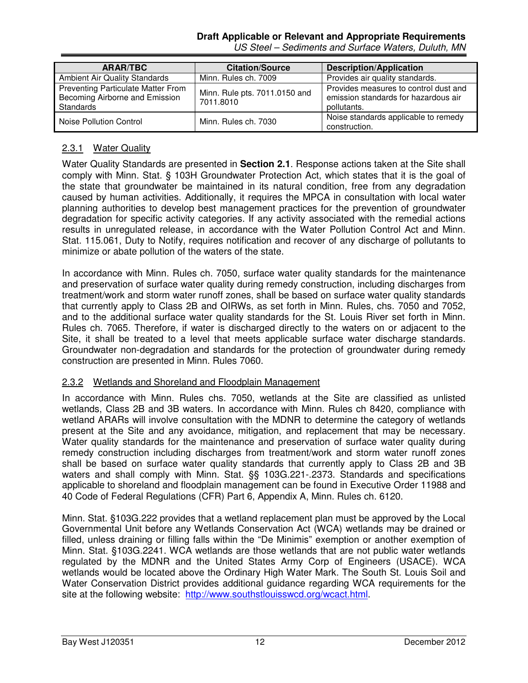### **Draft Applicable or Relevant and Appropriate Requirements**

| <b>ARAR/TBC</b>                                                                          | <b>Citation/Source</b>                     | <b>Description/Application</b>                                                               |
|------------------------------------------------------------------------------------------|--------------------------------------------|----------------------------------------------------------------------------------------------|
| <b>Ambient Air Quality Standards</b>                                                     | Minn. Rules ch. 7009                       | Provides air quality standards.                                                              |
| Preventing Particulate Matter From<br>Becoming Airborne and Emission<br><b>Standards</b> | Minn. Rule pts. 7011.0150 and<br>7011.8010 | Provides measures to control dust and<br>emission standards for hazardous air<br>pollutants. |
| Noise Pollution Control                                                                  | Minn. Rules ch. 7030                       | Noise standards applicable to remedy<br>construction.                                        |

## US Steel – Sediments and Surface Waters, Duluth, MN

## 2.3.1 Water Quality

Water Quality Standards are presented in **Section 2.1**. Response actions taken at the Site shall comply with Minn. Stat. § 103H Groundwater Protection Act, which states that it is the goal of the state that groundwater be maintained in its natural condition, free from any degradation caused by human activities. Additionally, it requires the MPCA in consultation with local water planning authorities to develop best management practices for the prevention of groundwater degradation for specific activity categories. If any activity associated with the remedial actions results in unregulated release, in accordance with the Water Pollution Control Act and Minn. Stat. 115.061, Duty to Notify, requires notification and recover of any discharge of pollutants to minimize or abate pollution of the waters of the state.

In accordance with Minn. Rules ch. 7050, surface water quality standards for the maintenance and preservation of surface water quality during remedy construction, including discharges from treatment/work and storm water runoff zones, shall be based on surface water quality standards that currently apply to Class 2B and OIRWs, as set forth in Minn. Rules, chs. 7050 and 7052, and to the additional surface water quality standards for the St. Louis River set forth in Minn. Rules ch. 7065. Therefore, if water is discharged directly to the waters on or adjacent to the Site, it shall be treated to a level that meets applicable surface water discharge standards. Groundwater non-degradation and standards for the protection of groundwater during remedy construction are presented in Minn. Rules 7060.

#### 2.3.2 Wetlands and Shoreland and Floodplain Management

In accordance with Minn. Rules chs. 7050, wetlands at the Site are classified as unlisted wetlands, Class 2B and 3B waters. In accordance with Minn. Rules ch 8420, compliance with wetland ARARs will involve consultation with the MDNR to determine the category of wetlands present at the Site and any avoidance, mitigation, and replacement that may be necessary. Water quality standards for the maintenance and preservation of surface water quality during remedy construction including discharges from treatment/work and storm water runoff zones shall be based on surface water quality standards that currently apply to Class 2B and 3B waters and shall comply with Minn. Stat. §§ 103G.221-.2373. Standards and specifications applicable to shoreland and floodplain management can be found in Executive Order 11988 and 40 Code of Federal Regulations (CFR) Part 6, Appendix A, Minn. Rules ch. 6120.

Minn. Stat. §103G.222 provides that a wetland replacement plan must be approved by the Local Governmental Unit before any Wetlands Conservation Act (WCA) wetlands may be drained or filled, unless draining or filling falls within the "De Minimis" exemption or another exemption of Minn. Stat. §103G.2241. WCA wetlands are those wetlands that are not public water wetlands regulated by the MDNR and the United States Army Corp of Engineers (USACE). WCA wetlands would be located above the Ordinary High Water Mark. The South St. Louis Soil and Water Conservation District provides additional guidance regarding WCA requirements for the site at the following website: http://www.southstlouisswcd.org/wcact.html.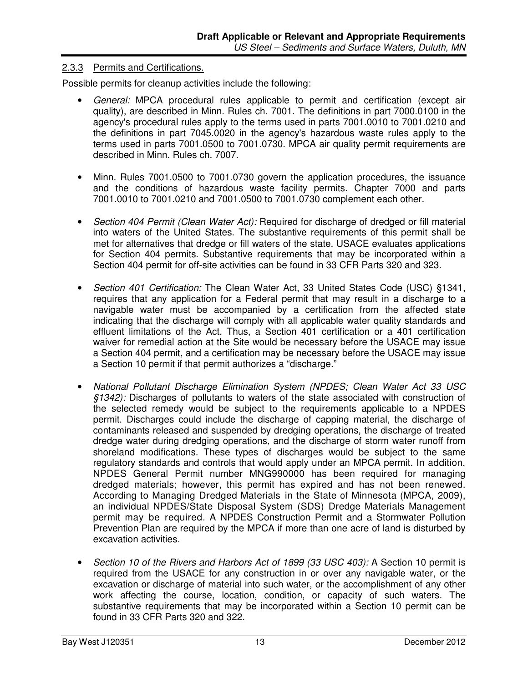#### 2.3.3 Permits and Certifications.

Possible permits for cleanup activities include the following:

- General: MPCA procedural rules applicable to permit and certification (except air quality), are described in Minn. Rules ch. 7001. The definitions in part 7000.0100 in the agency's procedural rules apply to the terms used in parts 7001.0010 to 7001.0210 and the definitions in part 7045.0020 in the agency's hazardous waste rules apply to the terms used in parts 7001.0500 to 7001.0730. MPCA air quality permit requirements are described in Minn. Rules ch. 7007.
- Minn. Rules 7001.0500 to 7001.0730 govern the application procedures, the issuance and the conditions of hazardous waste facility permits. Chapter 7000 and parts 7001.0010 to 7001.0210 and 7001.0500 to 7001.0730 complement each other.
- Section 404 Permit (Clean Water Act): Required for discharge of dredged or fill material into waters of the United States. The substantive requirements of this permit shall be met for alternatives that dredge or fill waters of the state. USACE evaluates applications for Section 404 permits. Substantive requirements that may be incorporated within a Section 404 permit for off-site activities can be found in 33 CFR Parts 320 and 323.
- Section 401 Certification: The Clean Water Act, 33 United States Code (USC) §1341, requires that any application for a Federal permit that may result in a discharge to a navigable water must be accompanied by a certification from the affected state indicating that the discharge will comply with all applicable water quality standards and effluent limitations of the Act. Thus, a Section 401 certification or a 401 certification waiver for remedial action at the Site would be necessary before the USACE may issue a Section 404 permit, and a certification may be necessary before the USACE may issue a Section 10 permit if that permit authorizes a "discharge."
- National Pollutant Discharge Elimination System (NPDES; Clean Water Act 33 USC §1342): Discharges of pollutants to waters of the state associated with construction of the selected remedy would be subject to the requirements applicable to a NPDES permit. Discharges could include the discharge of capping material, the discharge of contaminants released and suspended by dredging operations, the discharge of treated dredge water during dredging operations, and the discharge of storm water runoff from shoreland modifications. These types of discharges would be subject to the same regulatory standards and controls that would apply under an MPCA permit. In addition, NPDES General Permit number MNG990000 has been required for managing dredged materials; however, this permit has expired and has not been renewed. According to Managing Dredged Materials in the State of Minnesota (MPCA, 2009), an individual NPDES/State Disposal System (SDS) Dredge Materials Management permit may be required. A NPDES Construction Permit and a Stormwater Pollution Prevention Plan are required by the MPCA if more than one acre of land is disturbed by excavation activities.
- Section 10 of the Rivers and Harbors Act of 1899 (33 USC 403): A Section 10 permit is required from the USACE for any construction in or over any navigable water, or the excavation or discharge of material into such water, or the accomplishment of any other work affecting the course, location, condition, or capacity of such waters. The substantive requirements that may be incorporated within a Section 10 permit can be found in 33 CFR Parts 320 and 322.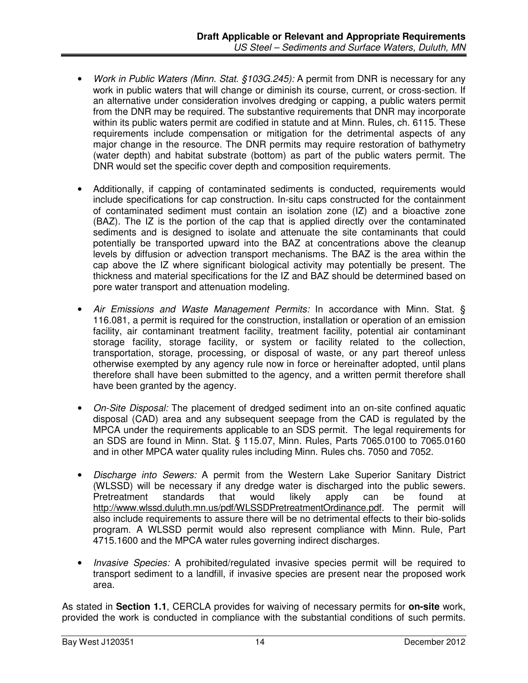- Work in Public Waters (Minn. Stat. §103G.245): A permit from DNR is necessary for any work in public waters that will change or diminish its course, current, or cross-section. If an alternative under consideration involves dredging or capping, a public waters permit from the DNR may be required. The substantive requirements that DNR may incorporate within its public waters permit are codified in statute and at Minn. Rules, ch. 6115. These requirements include compensation or mitigation for the detrimental aspects of any major change in the resource. The DNR permits may require restoration of bathymetry (water depth) and habitat substrate (bottom) as part of the public waters permit. The DNR would set the specific cover depth and composition requirements.
- Additionally, if capping of contaminated sediments is conducted, requirements would include specifications for cap construction. In-situ caps constructed for the containment of contaminated sediment must contain an isolation zone (IZ) and a bioactive zone (BAZ). The IZ is the portion of the cap that is applied directly over the contaminated sediments and is designed to isolate and attenuate the site contaminants that could potentially be transported upward into the BAZ at concentrations above the cleanup levels by diffusion or advection transport mechanisms. The BAZ is the area within the cap above the IZ where significant biological activity may potentially be present. The thickness and material specifications for the IZ and BAZ should be determined based on pore water transport and attenuation modeling.
- Air Emissions and Waste Management Permits: In accordance with Minn. Stat. § 116.081, a permit is required for the construction, installation or operation of an emission facility, air contaminant treatment facility, treatment facility, potential air contaminant storage facility, storage facility, or system or facility related to the collection, transportation, storage, processing, or disposal of waste, or any part thereof unless otherwise exempted by any agency rule now in force or hereinafter adopted, until plans therefore shall have been submitted to the agency, and a written permit therefore shall have been granted by the agency.
- On-Site Disposal: The placement of dredged sediment into an on-site confined aquatic disposal (CAD) area and any subsequent seepage from the CAD is regulated by the MPCA under the requirements applicable to an SDS permit. The legal requirements for an SDS are found in Minn. Stat. § 115.07, Minn. Rules, Parts 7065.0100 to 7065.0160 and in other MPCA water quality rules including Minn. Rules chs. 7050 and 7052.
- Discharge into Sewers: A permit from the Western Lake Superior Sanitary District (WLSSD) will be necessary if any dredge water is discharged into the public sewers. Pretreatment standards that would likely apply can be found at http://www.wlssd.duluth.mn.us/pdf/WLSSDPretreatmentOrdinance.pdf. The permit will also include requirements to assure there will be no detrimental effects to their bio-solids program. A WLSSD permit would also represent compliance with Minn. Rule, Part 4715.1600 and the MPCA water rules governing indirect discharges.
- Invasive Species: A prohibited/regulated invasive species permit will be required to transport sediment to a landfill, if invasive species are present near the proposed work area.

As stated in **Section 1.1**, CERCLA provides for waiving of necessary permits for **on-site** work, provided the work is conducted in compliance with the substantial conditions of such permits.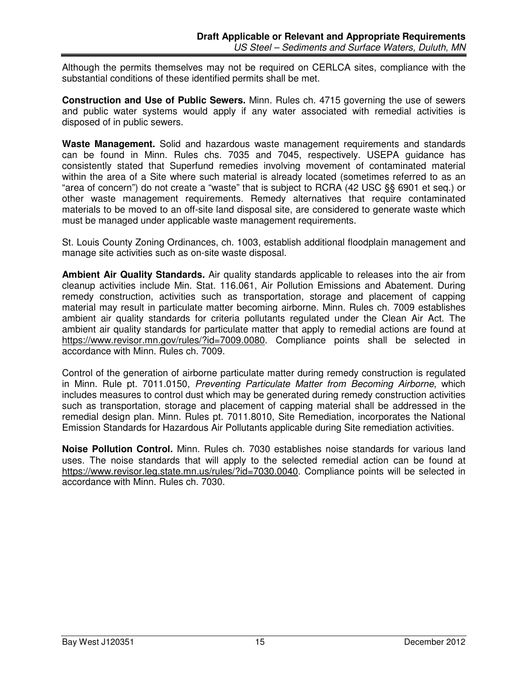Although the permits themselves may not be required on CERLCA sites, compliance with the substantial conditions of these identified permits shall be met.

**Construction and Use of Public Sewers.** Minn. Rules ch. 4715 governing the use of sewers and public water systems would apply if any water associated with remedial activities is disposed of in public sewers.

**Waste Management.** Solid and hazardous waste management requirements and standards can be found in Minn. Rules chs. 7035 and 7045, respectively. USEPA guidance has consistently stated that Superfund remedies involving movement of contaminated material within the area of a Site where such material is already located (sometimes referred to as an "area of concern") do not create a "waste" that is subject to RCRA (42 USC §§ 6901 et seq.) or other waste management requirements. Remedy alternatives that require contaminated materials to be moved to an off-site land disposal site, are considered to generate waste which must be managed under applicable waste management requirements.

St. Louis County Zoning Ordinances, ch. 1003, establish additional floodplain management and manage site activities such as on-site waste disposal.

**Ambient Air Quality Standards.** Air quality standards applicable to releases into the air from cleanup activities include Min. Stat. 116.061, Air Pollution Emissions and Abatement. During remedy construction, activities such as transportation, storage and placement of capping material may result in particulate matter becoming airborne. Minn. Rules ch. 7009 establishes ambient air quality standards for criteria pollutants regulated under the Clean Air Act. The ambient air quality standards for particulate matter that apply to remedial actions are found at https://www.revisor.mn.gov/rules/?id=7009.0080. Compliance points shall be selected in accordance with Minn. Rules ch. 7009.

Control of the generation of airborne particulate matter during remedy construction is regulated in Minn. Rule pt. 7011.0150, Preventing Particulate Matter from Becoming Airborne, which includes measures to control dust which may be generated during remedy construction activities such as transportation, storage and placement of capping material shall be addressed in the remedial design plan. Minn. Rules pt. 7011.8010, Site Remediation, incorporates the National Emission Standards for Hazardous Air Pollutants applicable during Site remediation activities.

**Noise Pollution Control.** Minn. Rules ch. 7030 establishes noise standards for various land uses. The noise standards that will apply to the selected remedial action can be found at https://www.revisor.leg.state.mn.us/rules/?id=7030.0040. Compliance points will be selected in accordance with Minn. Rules ch. 7030.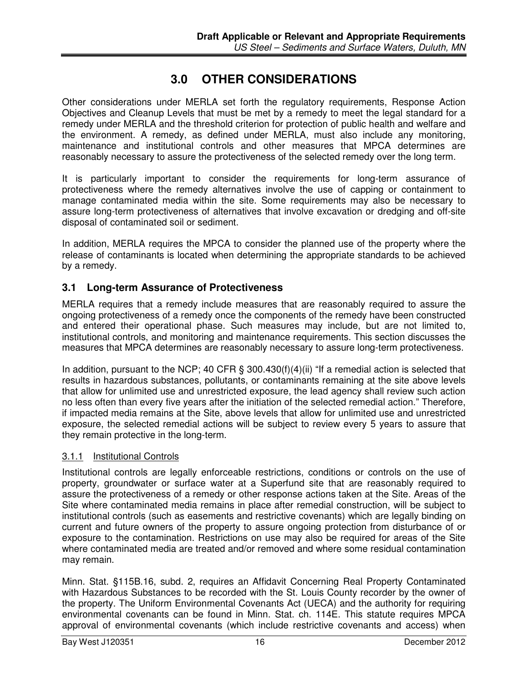## **3.0 OTHER CONSIDERATIONS**

Other considerations under MERLA set forth the regulatory requirements, Response Action Objectives and Cleanup Levels that must be met by a remedy to meet the legal standard for a remedy under MERLA and the threshold criterion for protection of public health and welfare and the environment. A remedy, as defined under MERLA, must also include any monitoring, maintenance and institutional controls and other measures that MPCA determines are reasonably necessary to assure the protectiveness of the selected remedy over the long term.

It is particularly important to consider the requirements for long-term assurance of protectiveness where the remedy alternatives involve the use of capping or containment to manage contaminated media within the site. Some requirements may also be necessary to assure long-term protectiveness of alternatives that involve excavation or dredging and off-site disposal of contaminated soil or sediment.

In addition, MERLA requires the MPCA to consider the planned use of the property where the release of contaminants is located when determining the appropriate standards to be achieved by a remedy.

## **3.1 Long-term Assurance of Protectiveness**

MERLA requires that a remedy include measures that are reasonably required to assure the ongoing protectiveness of a remedy once the components of the remedy have been constructed and entered their operational phase. Such measures may include, but are not limited to, institutional controls, and monitoring and maintenance requirements. This section discusses the measures that MPCA determines are reasonably necessary to assure long-term protectiveness.

In addition, pursuant to the NCP; 40 CFR § 300.430(f)(4)(ii) "If a remedial action is selected that results in hazardous substances, pollutants, or contaminants remaining at the site above levels that allow for unlimited use and unrestricted exposure, the lead agency shall review such action no less often than every five years after the initiation of the selected remedial action." Therefore, if impacted media remains at the Site, above levels that allow for unlimited use and unrestricted exposure, the selected remedial actions will be subject to review every 5 years to assure that they remain protective in the long-term.

#### 3.1.1 Institutional Controls

Institutional controls are legally enforceable restrictions, conditions or controls on the use of property, groundwater or surface water at a Superfund site that are reasonably required to assure the protectiveness of a remedy or other response actions taken at the Site. Areas of the Site where contaminated media remains in place after remedial construction, will be subject to institutional controls (such as easements and restrictive covenants) which are legally binding on current and future owners of the property to assure ongoing protection from disturbance of or exposure to the contamination. Restrictions on use may also be required for areas of the Site where contaminated media are treated and/or removed and where some residual contamination may remain.

Minn. Stat. §115B.16, subd. 2, requires an Affidavit Concerning Real Property Contaminated with Hazardous Substances to be recorded with the St. Louis County recorder by the owner of the property. The Uniform Environmental Covenants Act (UECA) and the authority for requiring environmental covenants can be found in Minn. Stat. ch. 114E. This statute requires MPCA approval of environmental covenants (which include restrictive covenants and access) when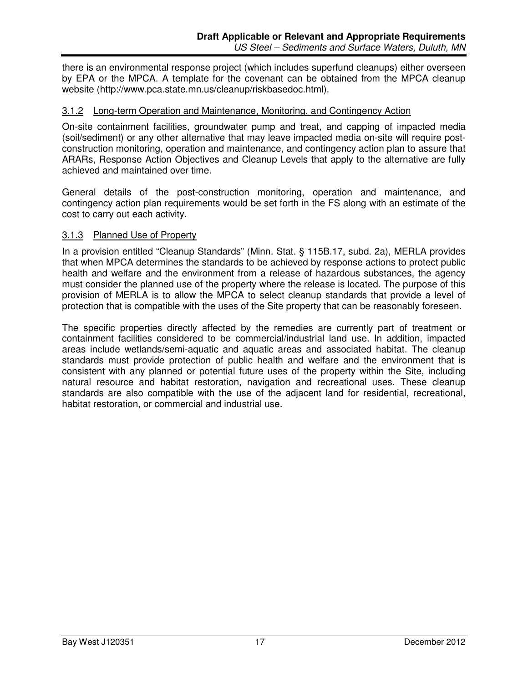there is an environmental response project (which includes superfund cleanups) either overseen by EPA or the MPCA. A template for the covenant can be obtained from the MPCA cleanup website (http://www.pca.state.mn.us/cleanup/riskbasedoc.html).

#### 3.1.2 Long-term Operation and Maintenance, Monitoring, and Contingency Action

On-site containment facilities, groundwater pump and treat, and capping of impacted media (soil/sediment) or any other alternative that may leave impacted media on-site will require postconstruction monitoring, operation and maintenance, and contingency action plan to assure that ARARs, Response Action Objectives and Cleanup Levels that apply to the alternative are fully achieved and maintained over time.

General details of the post-construction monitoring, operation and maintenance, and contingency action plan requirements would be set forth in the FS along with an estimate of the cost to carry out each activity.

#### 3.1.3 Planned Use of Property

In a provision entitled "Cleanup Standards" (Minn. Stat. § 115B.17, subd. 2a), MERLA provides that when MPCA determines the standards to be achieved by response actions to protect public health and welfare and the environment from a release of hazardous substances, the agency must consider the planned use of the property where the release is located. The purpose of this provision of MERLA is to allow the MPCA to select cleanup standards that provide a level of protection that is compatible with the uses of the Site property that can be reasonably foreseen.

The specific properties directly affected by the remedies are currently part of treatment or containment facilities considered to be commercial/industrial land use. In addition, impacted areas include wetlands/semi-aquatic and aquatic areas and associated habitat. The cleanup standards must provide protection of public health and welfare and the environment that is consistent with any planned or potential future uses of the property within the Site, including natural resource and habitat restoration, navigation and recreational uses. These cleanup standards are also compatible with the use of the adjacent land for residential, recreational, habitat restoration, or commercial and industrial use.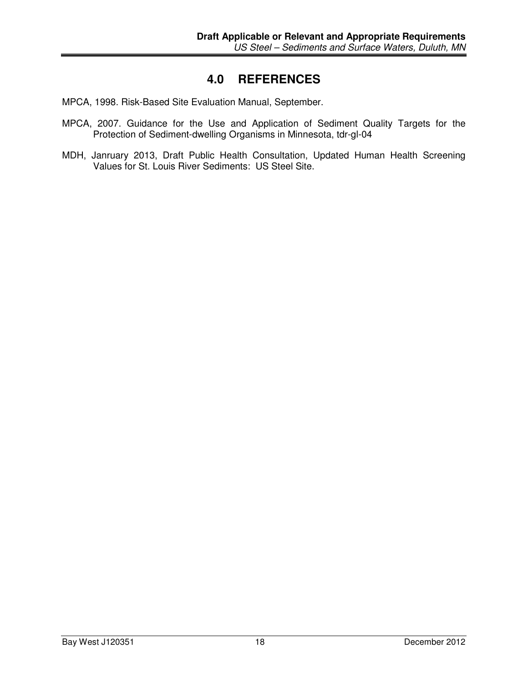## **4.0 REFERENCES**

- MPCA, 1998. Risk-Based Site Evaluation Manual, September.
- MPCA, 2007. Guidance for the Use and Application of Sediment Quality Targets for the Protection of Sediment-dwelling Organisms in Minnesota, tdr-gl-04
- MDH, Janruary 2013, Draft Public Health Consultation, Updated Human Health Screening Values for St. Louis River Sediments: US Steel Site.